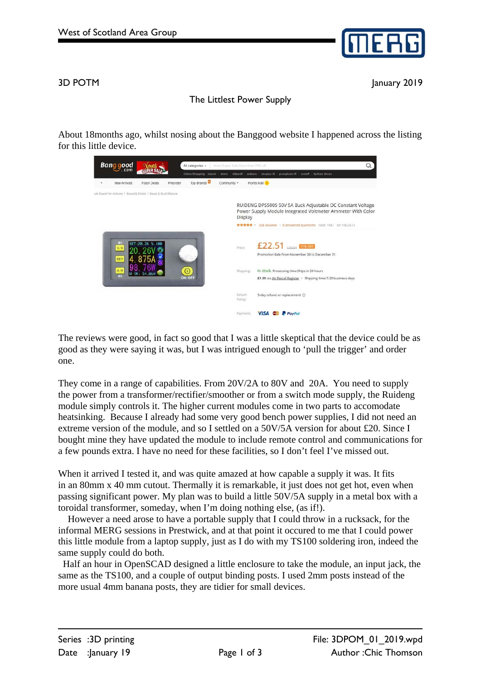

3D POTM January 2019

## The Littlest Power Supply

About 18months ago, whilst nosing about the Banggood website I happened across the listing for this little device.



The reviews were good, in fact so good that I was a little skeptical that the device could be as good as they were saying it was, but I was intrigued enough to 'pull the trigger' and order one.

They come in a range of capabilities. From 20V/2A to 80V and 20A. You need to supply the power from a transformer/rectifier/smoother or from a switch mode supply, the Ruideng module simply controls it. The higher current modules come in two parts to accomodate heatsinking. Because I already had some very good bench power supplies, I did not need an extreme version of the module, and so I settled on a 50V/5A version for about £20. Since I bought mine they have updated the module to include remote control and communications for a few pounds extra. I have no need for these facilities, so I don't feel I've missed out.

When it arrived I tested it, and was quite amazed at how capable a supply it was. It fits in an 80mm x 40 mm cutout. Thermally it is remarkable, it just does not get hot, even when passing significant power. My plan was to build a little 50V/5A supply in a metal box with a toroidal transformer, someday, when I'm doing nothing else, (as if!).

 However a need arose to have a portable supply that I could throw in a rucksack, for the informal MERG sessions in Prestwick, and at that point it occured to me that I could power this little module from a laptop supply, just as I do with my TS100 soldering iron, indeed the same supply could do both.

 Half an hour in OpenSCAD designed a little enclosure to take the module, an input jack, the same as the TS100, and a couple of output binding posts. I used 2mm posts instead of the more usual 4mm banana posts, they are tidier for small devices.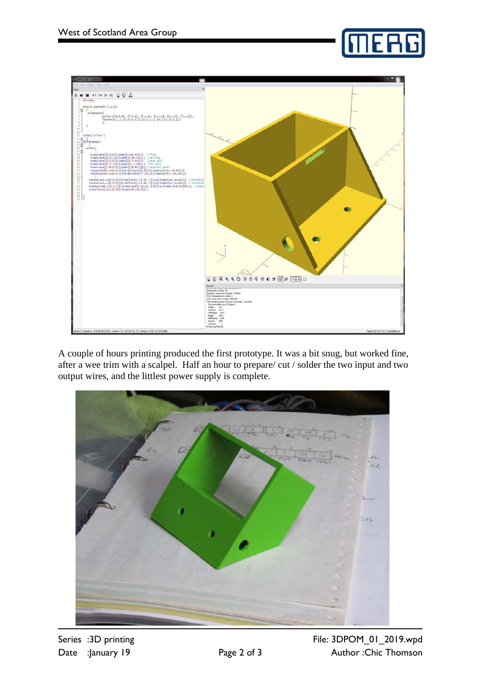



A couple of hours printing produced the first prototype. It was a bit snug, but worked fine, after a wee trim with a scalpel. Half an hour to prepare/ cut / solder the two input and two output wires, and the littlest power supply is complete.